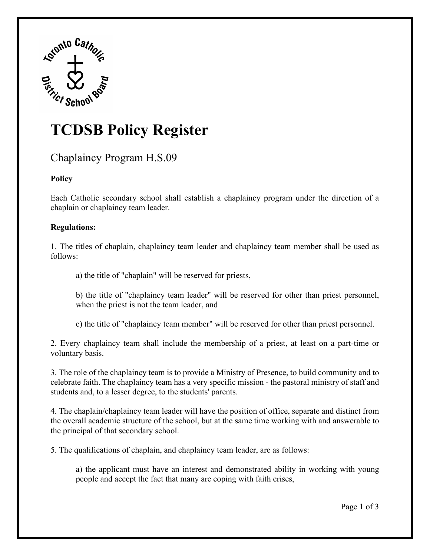

# **TCDSB Policy Register**

## Chaplaincy Program H.S.09

### **Policy**

Each Catholic secondary school shall establish a chaplaincy program under the direction of a chaplain or chaplaincy team leader.

#### **Regulations:**

1. The titles of chaplain, chaplaincy team leader and chaplaincy team member shall be used as follows:

a) the title of "chaplain" will be reserved for priests,

b) the title of "chaplaincy team leader" will be reserved for other than priest personnel, when the priest is not the team leader, and

c) the title of "chaplaincy team member" will be reserved for other than priest personnel.

2. Every chaplaincy team shall include the membership of a priest, at least on a part-time or voluntary basis.

3. The role of the chaplaincy team is to provide a Ministry of Presence, to build community and to celebrate faith. The chaplaincy team has a very specific mission - the pastoral ministry of staff and students and, to a lesser degree, to the students' parents.

4. The chaplain/chaplaincy team leader will have the position of office, separate and distinct from the overall academic structure of the school, but at the same time working with and answerable to the principal of that secondary school.

5. The qualifications of chaplain, and chaplaincy team leader, are as follows:

a) the applicant must have an interest and demonstrated ability in working with young people and accept the fact that many are coping with faith crises,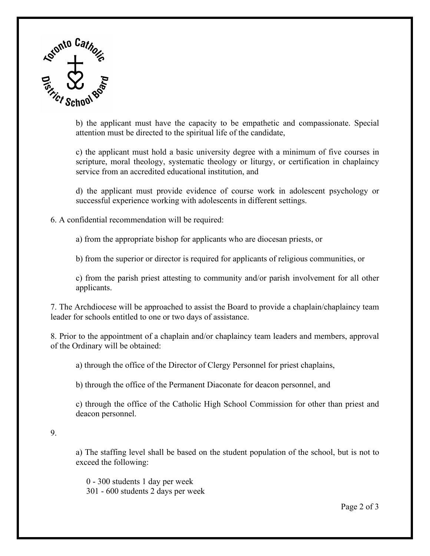

b) the applicant must have the capacity to be empathetic and compassionate. Special attention must be directed to the spiritual life of the candidate,

c) the applicant must hold a basic university degree with a minimum of five courses in scripture, moral theology, systematic theology or liturgy, or certification in chaplaincy service from an accredited educational institution, and

d) the applicant must provide evidence of course work in adolescent psychology or successful experience working with adolescents in different settings.

6. A confidential recommendation will be required:

a) from the appropriate bishop for applicants who are diocesan priests, or

b) from the superior or director is required for applicants of religious communities, or

c) from the parish priest attesting to community and/or parish involvement for all other applicants.

7. The Archdiocese will be approached to assist the Board to provide a chaplain/chaplaincy team leader for schools entitled to one or two days of assistance.

8. Prior to the appointment of a chaplain and/or chaplaincy team leaders and members, approval of the Ordinary will be obtained:

a) through the office of the Director of Clergy Personnel for priest chaplains,

b) through the office of the Permanent Diaconate for deacon personnel, and

c) through the office of the Catholic High School Commission for other than priest and deacon personnel.

#### 9.

a) The staffing level shall be based on the student population of the school, but is not to exceed the following:

 0 - 300 students 1 day per week 301 - 600 students 2 days per week